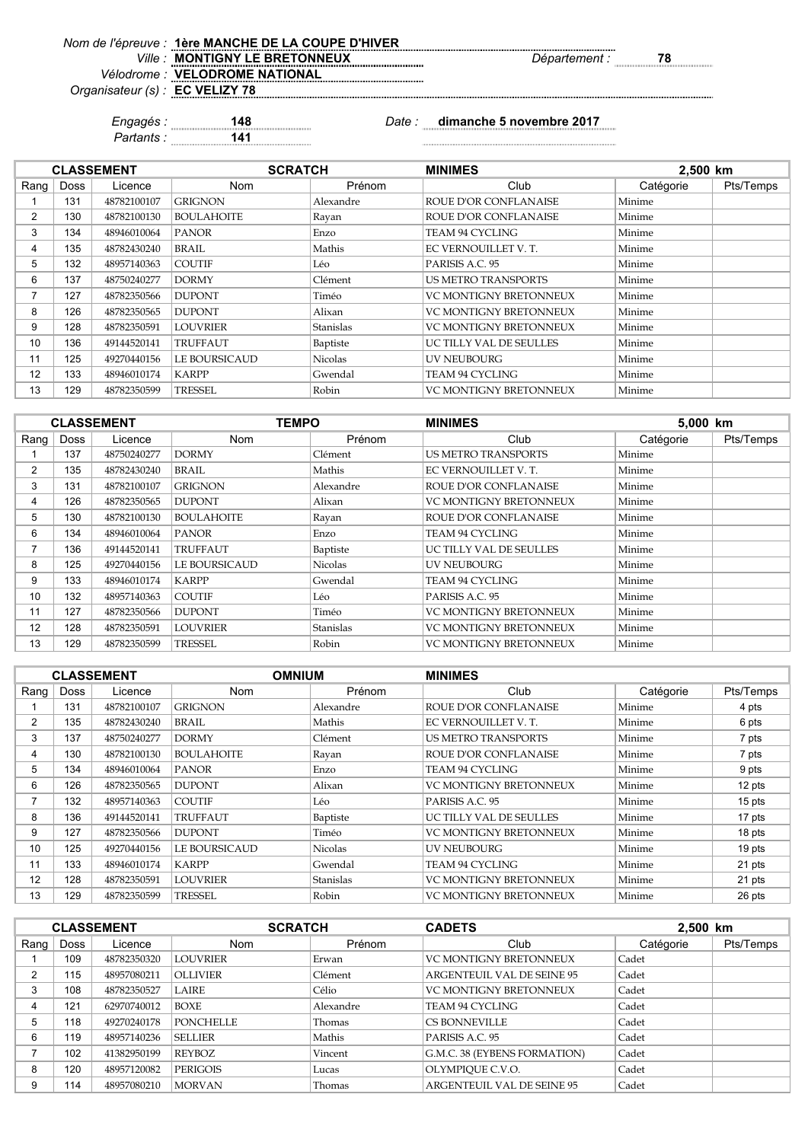*Ville : Département :* **78 MONTIGNY LE BRETONNEUX**

*Nom de l'épreuve : Vélodrome :*

*Organisateur (s) :* **VELODROME NATIONAL**

**EC VELIZY 78**

**1ère MANCHE DE LA COUPE D'HIVER**

*Engagés :* **148** *Date :* **dimanche 5 novembre 2017**

*Partants :* **141**

|                |      | <b>CLASSEMENT</b> | <b>SCRATCH</b>    |                | <b>MINIMES</b>             |           | 2,500 km  |  |
|----------------|------|-------------------|-------------------|----------------|----------------------------|-----------|-----------|--|
| Rang $ $       | Doss | Licence           | Nom               | Prénom         | Club                       | Catégorie | Pts/Temps |  |
|                | 131  | 48782100107       | <b>GRIGNON</b>    | Alexandre      | ROUE D'OR CONFLANAISE      | Minime    |           |  |
| $\overline{2}$ | 130  | 48782100130       | <b>BOULAHOITE</b> | Rayan          | ROUE D'OR CONFLANAISE      | Minime    |           |  |
| 3              | 134  | 48946010064       | <b>PANOR</b>      | Enzo           | TEAM 94 CYCLING            | Minime    |           |  |
| 4              | 135  | 48782430240       | BRAIL             | Mathis         | EC VERNOUILLET V. T.       | Minime    |           |  |
| 5              | 132  | 48957140363       | <b>COUTIF</b>     | Léo            | PARISIS A.C. 95            | Minime    |           |  |
| 6              | 137  | 48750240277       | <b>DORMY</b>      | Clément        | <b>US METRO TRANSPORTS</b> | Minime    |           |  |
|                | 127  | 48782350566       | <b>DUPONT</b>     | Timéo          | VC MONTIGNY BRETONNEUX     | Minime    |           |  |
| 8              | 126  | 48782350565       | <b>DUPONT</b>     | Alixan         | VC MONTIGNY BRETONNEUX     | Minime    |           |  |
| 9              | 128  | 48782350591       | <b>LOUVRIER</b>   | Stanislas      | VC MONTIGNY BRETONNEUX     | Minime    |           |  |
| 10             | 136  | 49144520141       | TRUFFAUT          | Baptiste       | UC TILLY VAL DE SEULLES    | Minime    |           |  |
| 11             | 125  | 49270440156       | LE BOURSICAUD     | <b>Nicolas</b> | UV NEUBOURG                | Minime    |           |  |
| 12             | 133  | 48946010174       | <b>KARPP</b>      | Gwendal        | TEAM 94 CYCLING            | Minime    |           |  |
| 13             | 129  | 48782350599       | TRESSEL           | Robin          | VC MONTIGNY BRETONNEUX     | Minime    |           |  |

|                | <b>CLASSEMENT</b> |             |                      | <b>TEMPO</b><br><b>MINIMES</b> |                               | 5,000 km  |           |
|----------------|-------------------|-------------|----------------------|--------------------------------|-------------------------------|-----------|-----------|
| Rang           | Doss              | Licence     | <b>Nom</b>           | Prénom                         | Club                          | Catégorie | Pts/Temps |
|                | 137               | 48750240277 | <b>DORMY</b>         | Clément                        | <b>US METRO TRANSPORTS</b>    | Minime    |           |
| $\overline{2}$ | 135               | 48782430240 | BRAIL                | Mathis                         | EC VERNOUILLET V.T.           | Minime    |           |
| 3              | 131               | 48782100107 | <b>GRIGNON</b>       | Alexandre                      | <b>ROUE D'OR CONFLANAISE</b>  | Minime    |           |
| 4              | 126               | 48782350565 | <b>DUPONT</b>        | Alixan                         | <b>VC MONTIGNY BRETONNEUX</b> | Minime    |           |
| 5              | 130               | 48782100130 | <b>BOULAHOITE</b>    | Rayan                          | ROUE D'OR CONFLANAISE         | Minime    |           |
| 6              | 134               | 48946010064 | <b>PANOR</b>         | Enzo                           | TEAM 94 CYCLING               | Minime    |           |
| 7              | 136               | 49144520141 | <b>TRUFFAUT</b>      | Baptiste                       | UC TILLY VAL DE SEULLES       | Minime    |           |
| 8              | 125               | 49270440156 | <b>LE BOURSICAUD</b> | Nicolas                        | <b>UV NEUBOURG</b>            | Minime    |           |
| 9              | 133               | 48946010174 | <b>KARPP</b>         | Gwendal                        | TEAM 94 CYCLING               | Minime    |           |
| 10             | 132               | 48957140363 | <b>COUTIF</b>        | Léo                            | PARISIS A.C. 95               | Minime    |           |
| 11             | 127               | 48782350566 | <b>DUPONT</b>        | Timéo                          | <b>VC MONTIGNY BRETONNEUX</b> | Minime    |           |
| 12             | 128               | 48782350591 | <b>LOUVRIER</b>      | Stanislas                      | <b>VC MONTIGNY BRETONNEUX</b> | Minime    |           |
| 13             | 129               | 48782350599 | TRESSEL              | Robin                          | VC MONTIGNY BRETONNEUX        | Minime    |           |

|                |             | <b>CLASSEMENT</b> | <b>OMNIUM</b>        |           | <b>MINIMES</b>                |           |           |
|----------------|-------------|-------------------|----------------------|-----------|-------------------------------|-----------|-----------|
| Rang           | <b>Doss</b> | Licence           | <b>Nom</b>           | Prénom    | Club                          | Catégorie | Pts/Temps |
|                | 131         | 48782100107       | <b>GRIGNON</b>       | Alexandre | <b>ROUE D'OR CONFLANAISE</b>  | Minime    | 4 pts     |
| $\overline{2}$ | 135         | 48782430240       | <b>BRAIL</b>         | Mathis    | EC VERNOUILLET V.T.           | Minime    | 6 pts     |
| 3              | 137         | 48750240277       | <b>DORMY</b>         | Clément   | <b>US METRO TRANSPORTS</b>    | Minime    | 7 pts     |
| 4              | 130         | 48782100130       | <b>BOULAHOITE</b>    | Rayan     | ROUE D'OR CONFLANAISE         | Minime    | 7 pts     |
| 5              | 134         | 48946010064       | <b>PANOR</b>         | Enzo      | <b>TEAM 94 CYCLING</b>        | Minime    | 9 pts     |
| 6              | 126         | 48782350565       | <b>DUPONT</b>        | Alixan    | <b>VC MONTIGNY BRETONNEUX</b> | Minime    | 12 pts    |
|                | 132         | 48957140363       | <b>COUTIF</b>        | Léo       | PARISIS A.C. 95               | Minime    | 15 pts    |
| 8              | 136         | 49144520141       | <b>TRUFFAUT</b>      | Baptiste  | UC TILLY VAL DE SEULLES       | Minime    | 17 pts    |
| 9              | 127         | 48782350566       | <b>DUPONT</b>        | Timéo     | <b>VC MONTIGNY BRETONNEUX</b> | Minime    | 18 pts    |
| 10             | 125         | 49270440156       | <b>LE BOURSICAUD</b> | Nicolas   | <b>UV NEUBOURG</b>            | Minime    | 19 pts    |
| 11             | 133         | 48946010174       | <b>KARPP</b>         | Gwendal   | <b>TEAM 94 CYCLING</b>        | Minime    | 21 pts    |
| 12             | 128         | 48782350591       | <b>LOUVRIER</b>      | Stanislas | <b>VC MONTIGNY BRETONNEUX</b> | Minime    | 21 pts    |
| 13             | 129         | 48782350599       | TRESSEL              | Robin     | <b>VC MONTIGNY BRETONNEUX</b> | Minime    | 26 pts    |

|          | <b>CLASSEMENT</b> |             | <b>SCRATCH</b>  |           | <b>CADETS</b>                     | 2,500 km  |           |
|----------|-------------------|-------------|-----------------|-----------|-----------------------------------|-----------|-----------|
| Rang $ $ | Doss              | Licence     | <b>Nom</b>      | Prénom    | Club                              | Catégorie | Pts/Temps |
|          | 109               | 48782350320 | <b>LOUVRIER</b> | Erwan     | <b>VC MONTIGNY BRETONNEUX</b>     | Cadet     |           |
|          | 115               | 48957080211 | <b>OLLIVIER</b> | Clément   | ARGENTEUIL VAL DE SEINE 95        | Cadet     |           |
|          | 108               | 48782350527 | <b>LAIRE</b>    | Célio     | <b>VC MONTIGNY BRETONNEUX</b>     | Cadet     |           |
| 4        | 121               | 62970740012 | <b>BOXE</b>     | Alexandre | TEAM 94 CYCLING                   | Cadet     |           |
| 5        | 118               | 49270240178 | PONCHELLE       | Thomas    | <b>CS BONNEVILLE</b>              | Cadet     |           |
| 6        | 119               | 48957140236 | <b>SELLIER</b>  | Mathis    | PARISIS A.C. 95                   | Cadet     |           |
|          | 102               | 41382950199 | <b>REYBOZ</b>   | Vincent   | G.M.C. 38 (EYBENS FORMATION)      | Cadet     |           |
| 8        | 120               | 48957120082 | PERIGOIS        | Lucas     | OLYMPIOUE C.V.O.                  | Cadet     |           |
| 9        | 114               | 48957080210 | <b>MORVAN</b>   | Thomas    | <b>ARGENTEUIL VAL DE SEINE 95</b> | Cadet     |           |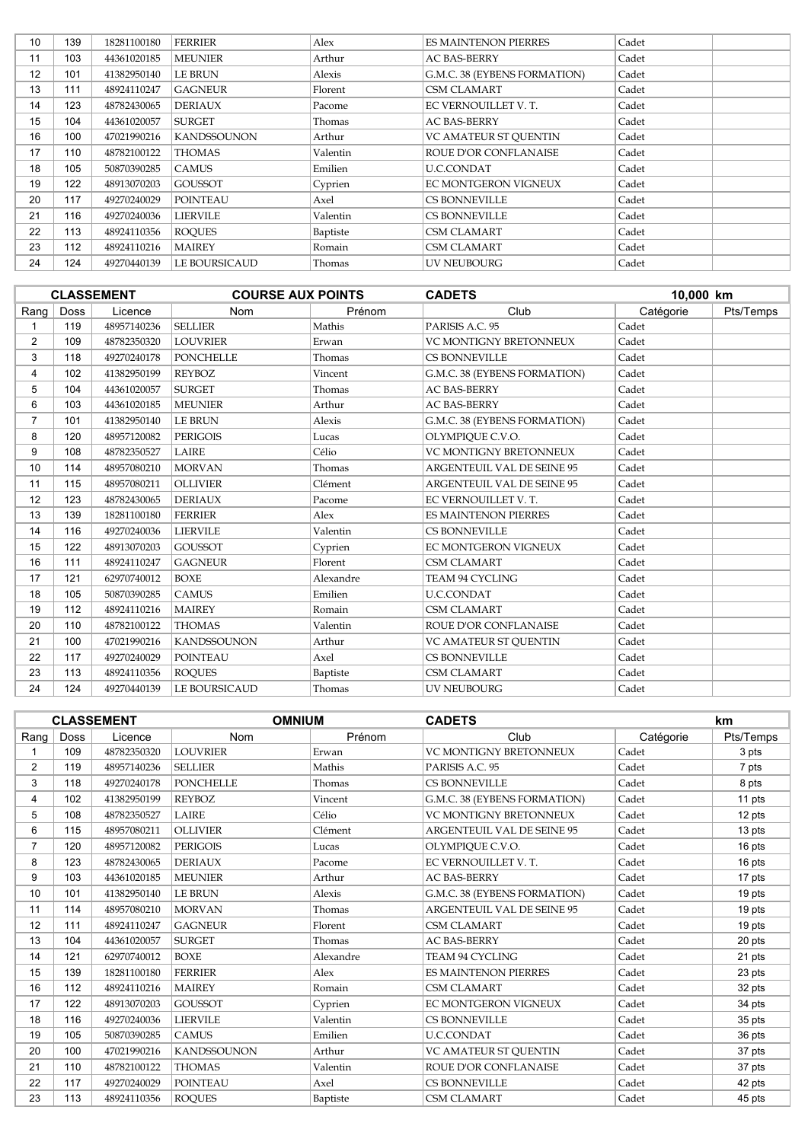| 10 | 139 | 18281100180 | <b>FERRIER</b>     | Alex     | <b>ES MAINTENON PIERRES</b>  | Cadet |  |
|----|-----|-------------|--------------------|----------|------------------------------|-------|--|
| 11 | 103 | 44361020185 | <b>MEUNIER</b>     | Arthur   | <b>AC BAS-BERRY</b>          | Cadet |  |
| 12 | 101 | 41382950140 | <b>LE BRUN</b>     | Alexis   | G.M.C. 38 (EYBENS FORMATION) | Cadet |  |
| 13 | 111 | 48924110247 | <b>GAGNEUR</b>     | Florent  | <b>CSM CLAMART</b>           | Cadet |  |
| 14 | 123 | 48782430065 | <b>DERIAUX</b>     | Pacome   | EC VERNOUILLET V. T.         | Cadet |  |
| 15 | 104 | 44361020057 | <b>SURGET</b>      | Thomas   | <b>AC BAS-BERRY</b>          | Cadet |  |
| 16 | 100 | 47021990216 | <b>KANDSSOUNON</b> | Arthur   | <b>VC AMATEUR ST OUENTIN</b> | Cadet |  |
| 17 | 110 | 48782100122 | <b>THOMAS</b>      | Valentin | ROUE D'OR CONFLANAISE        | Cadet |  |
| 18 | 105 | 50870390285 | <b>CAMUS</b>       | Emilien  | U.C.CONDAT                   | Cadet |  |
| 19 | 122 | 48913070203 | <b>GOUSSOT</b>     | Cyprien  | EC MONTGERON VIGNEUX         | Cadet |  |
| 20 | 117 | 49270240029 | <b>POINTEAU</b>    | Axel     | <b>CS BONNEVILLE</b>         | Cadet |  |
| 21 | 116 | 49270240036 | <b>LIERVILE</b>    | Valentin | <b>CS BONNEVILLE</b>         | Cadet |  |
| 22 | 113 | 48924110356 | <b>ROOUES</b>      | Baptiste | <b>CSM CLAMART</b>           | Cadet |  |
| 23 | 112 | 48924110216 | <b>MAIREY</b>      | Romain   | <b>CSM CLAMART</b>           | Cadet |  |
| 24 | 124 | 49270440139 | LE BOURSICAUD      | Thomas   | UV NEUBOURG                  | Cadet |  |

|                |      | <b>CLASSEMENT</b> | <b>COURSE AUX POINTS</b> |           | <b>CADETS</b>                     | 10,000 km |           |
|----------------|------|-------------------|--------------------------|-----------|-----------------------------------|-----------|-----------|
| Rang           | Doss | Licence           | Nom                      | Prénom    | Club                              | Catégorie | Pts/Temps |
| 1              | 119  | 48957140236       | <b>SELLIER</b>           | Mathis    | PARISIS A.C. 95                   | Cadet     |           |
| $\overline{2}$ | 109  | 48782350320       | <b>LOUVRIER</b>          | Erwan     | <b>VC MONTIGNY BRETONNEUX</b>     | Cadet     |           |
| 3              | 118  | 49270240178       | <b>PONCHELLE</b>         | Thomas    | <b>CS BONNEVILLE</b>              | Cadet     |           |
| 4              | 102  | 41382950199       | <b>REYBOZ</b>            | Vincent   | G.M.C. 38 (EYBENS FORMATION)      | Cadet     |           |
| 5              | 104  | 44361020057       | <b>SURGET</b>            | Thomas    | <b>AC BAS-BERRY</b>               | Cadet     |           |
| 6              | 103  | 44361020185       | <b>MEUNIER</b>           | Arthur    | <b>AC BAS-BERRY</b>               | Cadet     |           |
| $\overline{7}$ | 101  | 41382950140       | <b>LE BRUN</b>           | Alexis    | G.M.C. 38 (EYBENS FORMATION)      | Cadet     |           |
| 8              | 120  | 48957120082       | <b>PERIGOIS</b>          | Lucas     | OLYMPIQUE C.V.O.                  | Cadet     |           |
| 9              | 108  | 48782350527       | LAIRE                    | Célio     | VC MONTIGNY BRETONNEUX            | Cadet     |           |
| 10             | 114  | 48957080210       | <b>MORVAN</b>            | Thomas    | ARGENTEUIL VAL DE SEINE 95        | Cadet     |           |
| 11             | 115  | 48957080211       | <b>OLLIVIER</b>          | Clément   | <b>ARGENTEUIL VAL DE SEINE 95</b> | Cadet     |           |
| 12             | 123  | 48782430065       | <b>DERIAUX</b>           | Pacome    | EC VERNOUILLET V.T.               | Cadet     |           |
| 13             | 139  | 18281100180       | <b>FERRIER</b>           | Alex      | <b>ES MAINTENON PIERRES</b>       | Cadet     |           |
| 14             | 116  | 49270240036       | <b>LIERVILE</b>          | Valentin  | <b>CS BONNEVILLE</b>              | Cadet     |           |
| 15             | 122  | 48913070203       | <b>GOUSSOT</b>           | Cyprien   | EC MONTGERON VIGNEUX              | Cadet     |           |
| 16             | 111  | 48924110247       | <b>GAGNEUR</b>           | Florent   | <b>CSM CLAMART</b>                | Cadet     |           |
| 17             | 121  | 62970740012       | <b>BOXE</b>              | Alexandre | TEAM 94 CYCLING                   | Cadet     |           |
| 18             | 105  | 50870390285       | <b>CAMUS</b>             | Emilien   | <b>U.C.CONDAT</b>                 | Cadet     |           |
| 19             | 112  | 48924110216       | <b>MAIREY</b>            | Romain    | <b>CSM CLAMART</b>                | Cadet     |           |
| 20             | 110  | 48782100122       | <b>THOMAS</b>            | Valentin  | ROUE D'OR CONFLANAISE             | Cadet     |           |
| 21             | 100  | 47021990216       | <b>KANDSSOUNON</b>       | Arthur    | <b>VC AMATEUR ST OUENTIN</b>      | Cadet     |           |
| 22             | 117  | 49270240029       | <b>POINTEAU</b>          | Axel      | <b>CS BONNEVILLE</b>              | Cadet     |           |
| 23             | 113  | 48924110356       | <b>ROQUES</b>            | Baptiste  | <b>CSM CLAMART</b>                | Cadet     |           |
| 24             | 124  | 49270440139       | <b>LE BOURSICAUD</b>     | Thomas    | <b>UV NEUBOURG</b>                | Cadet     |           |

|                |      | <b>CLASSEMENT</b> | <b>OMNIUM</b>      |           | <b>CADETS</b>                     |           |           |
|----------------|------|-------------------|--------------------|-----------|-----------------------------------|-----------|-----------|
| Rang           | Doss | Licence           | Nom                | Prénom    | Club                              | Catégorie | Pts/Temps |
|                | 109  | 48782350320       | <b>LOUVRIER</b>    | Erwan     | <b>VC MONTIGNY BRETONNEUX</b>     | Cadet     | 3 pts     |
| 2              | 119  | 48957140236       | <b>SELLIER</b>     | Mathis    | PARISIS A.C. 95                   | Cadet     | 7 pts     |
| 3              | 118  | 49270240178       | <b>PONCHELLE</b>   | Thomas    | <b>CS BONNEVILLE</b>              | Cadet     | 8 pts     |
| 4              | 102  | 41382950199       | <b>REYBOZ</b>      | Vincent   | G.M.C. 38 (EYBENS FORMATION)      | Cadet     | 11 pts    |
| 5              | 108  | 48782350527       | <b>LAIRE</b>       | Célio     | <b>VC MONTIGNY BRETONNEUX</b>     | Cadet     | 12 pts    |
| 6              | 115  | 48957080211       | <b>OLLIVIER</b>    | Clément   | <b>ARGENTEUIL VAL DE SEINE 95</b> | Cadet     | 13 pts    |
| $\overline{7}$ | 120  | 48957120082       | <b>PERIGOIS</b>    | Lucas     | OLYMPIQUE C.V.O.                  | Cadet     | 16 pts    |
| 8              | 123  | 48782430065       | <b>DERIAUX</b>     | Pacome    | EC VERNOUILLET V.T.               | Cadet     | 16 pts    |
| 9              | 103  | 44361020185       | <b>MEUNIER</b>     | Arthur    | <b>AC BAS-BERRY</b>               | Cadet     | 17 pts    |
| 10             | 101  | 41382950140       | <b>LE BRUN</b>     | Alexis    | G.M.C. 38 (EYBENS FORMATION)      | Cadet     | 19 pts    |
| 11             | 114  | 48957080210       | <b>MORVAN</b>      | Thomas    | <b>ARGENTEUIL VAL DE SEINE 95</b> | Cadet     | 19 pts    |
| 12             | 111  | 48924110247       | <b>GAGNEUR</b>     | Florent   | <b>CSM CLAMART</b>                | Cadet     | 19 pts    |
| 13             | 104  | 44361020057       | <b>SURGET</b>      | Thomas    | <b>AC BAS-BERRY</b>               | Cadet     | 20 pts    |
| 14             | 121  | 62970740012       | <b>BOXE</b>        | Alexandre | <b>TEAM 94 CYCLING</b>            | Cadet     | 21 pts    |
| 15             | 139  | 18281100180       | <b>FERRIER</b>     | Alex      | <b>ES MAINTENON PIERRES</b>       | Cadet     | 23 pts    |
| 16             | 112  | 48924110216       | <b>MAIREY</b>      | Romain    | <b>CSM CLAMART</b>                | Cadet     | 32 pts    |
| 17             | 122  | 48913070203       | <b>GOUSSOT</b>     | Cyprien   | <b>EC MONTGERON VIGNEUX</b>       | Cadet     | 34 pts    |
| 18             | 116  | 49270240036       | <b>LIERVILE</b>    | Valentin  | <b>CS BONNEVILLE</b>              | Cadet     | 35 pts    |
| 19             | 105  | 50870390285       | <b>CAMUS</b>       | Emilien   | <b>U.C.CONDAT</b>                 | Cadet     | 36 pts    |
| 20             | 100  | 47021990216       | <b>KANDSSOUNON</b> | Arthur    | <b>VC AMATEUR ST OUENTIN</b>      | Cadet     | 37 pts    |
| 21             | 110  | 48782100122       | <b>THOMAS</b>      | Valentin  | ROUE D'OR CONFLANAISE             | Cadet     | 37 pts    |
| 22             | 117  | 49270240029       | <b>POINTEAU</b>    | Axel      | <b>CS BONNEVILLE</b>              | Cadet     | 42 pts    |
| 23             | 113  | 48924110356       | <b>ROOUES</b>      | Baptiste  | <b>CSM CLAMART</b>                | Cadet     | 45 pts    |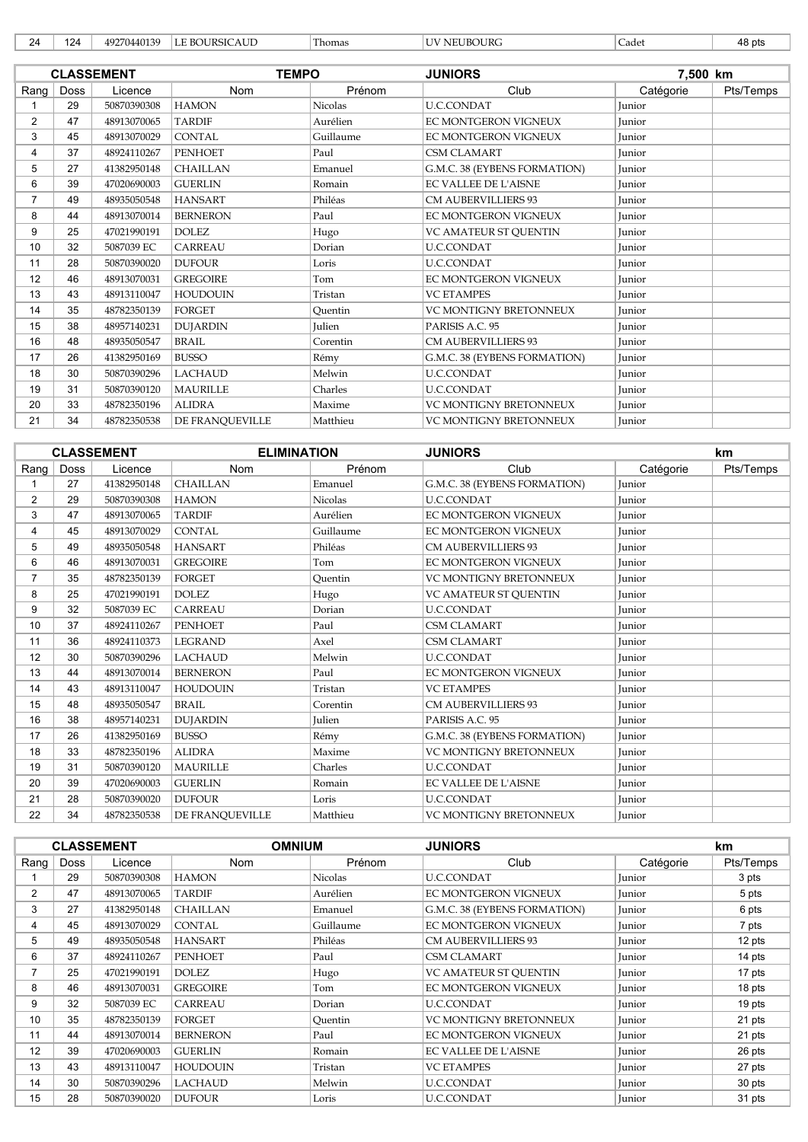| י מ<br>- | 124 | ຳ130<br>$\sim$<br>. . 440*<br>10T<br>ウエエジエン | $\cdot$ A T $T^*$<br><b>BOURSIC</b><br>AUL<br>. | $\sim$<br>1 homas | UBOURC<br>. | -<br>Cadet | 48 pts |
|----------|-----|---------------------------------------------|-------------------------------------------------|-------------------|-------------|------------|--------|
|----------|-----|---------------------------------------------|-------------------------------------------------|-------------------|-------------|------------|--------|

|                |      | <b>CLASSEMENT</b> | <b>TEMPO</b>    |                | <b>JUNIORS</b>                | 7,500 km      |           |
|----------------|------|-------------------|-----------------|----------------|-------------------------------|---------------|-----------|
| Rang           | Doss | Licence           | <b>Nom</b>      | Prénom         | Club                          | Catégorie     | Pts/Temps |
|                | 29   | 50870390308       | <b>HAMON</b>    | <b>Nicolas</b> | <b>U.C.CONDAT</b>             | Junior        |           |
| $\overline{2}$ | 47   | 48913070065       | <b>TARDIF</b>   | Aurélien       | <b>EC MONTGERON VIGNEUX</b>   | <b>Iunior</b> |           |
| 3              | 45   | 48913070029       | <b>CONTAL</b>   | Guillaume      | <b>EC MONTGERON VIGNEUX</b>   | Junior        |           |
| 4              | 37   | 48924110267       | <b>PENHOET</b>  | Paul           | <b>CSM CLAMART</b>            | Junior        |           |
| 5              | 27   | 41382950148       | <b>CHAILLAN</b> | Emanuel        | G.M.C. 38 (EYBENS FORMATION)  | Junior        |           |
| 6              | 39   | 47020690003       | <b>GUERLIN</b>  | Romain         | <b>EC VALLEE DE L'AISNE</b>   | Junior        |           |
| 7              | 49   | 48935050548       | <b>HANSART</b>  | Philéas        | <b>CM AUBERVILLIERS 93</b>    | Junior        |           |
| 8              | 44   | 48913070014       | <b>BERNERON</b> | Paul           | <b>EC MONTGERON VIGNEUX</b>   | Junior        |           |
| 9              | 25   | 47021990191       | <b>DOLEZ</b>    | Hugo           | VC AMATEUR ST QUENTIN         | Junior        |           |
| 10             | 32   | 5087039 EC        | <b>CARREAU</b>  | Dorian         | <b>U.C.CONDAT</b>             | Junior        |           |
| 11             | 28   | 50870390020       | <b>DUFOUR</b>   | Loris          | <b>U.C.CONDAT</b>             | Junior        |           |
| 12             | 46   | 48913070031       | <b>GREGOIRE</b> | Tom            | <b>EC MONTGERON VIGNEUX</b>   | Junior        |           |
| 13             | 43   | 48913110047       | <b>HOUDOUIN</b> | Tristan        | <b>VC ETAMPES</b>             | Junior        |           |
| 14             | 35   | 48782350139       | <b>FORGET</b>   | Ouentin        | <b>VC MONTIGNY BRETONNEUX</b> | <b>Iunior</b> |           |
| 15             | 38   | 48957140231       | <b>DUJARDIN</b> | <b>Julien</b>  | PARISIS A.C. 95               | Junior        |           |
| 16             | 48   | 48935050547       | <b>BRAIL</b>    | Corentin       | <b>CM AUBERVILLIERS 93</b>    | Junior        |           |
| 17             | 26   | 41382950169       | <b>BUSSO</b>    | Rémy           | G.M.C. 38 (EYBENS FORMATION)  | Junior        |           |
| 18             | 30   | 50870390296       | <b>LACHAUD</b>  | Melwin         | <b>U.C.CONDAT</b>             | Junior        |           |
| 19             | 31   | 50870390120       | <b>MAURILLE</b> | Charles        | <b>U.C.CONDAT</b>             | Junior        |           |
| 20             | 33   | 48782350196       | <b>ALIDRA</b>   | Maxime         | VC MONTIGNY BRETONNEUX        | Junior        |           |
| 21             | 34   | 48782350538       | DE FRANQUEVILLE | Matthieu       | VC MONTIGNY BRETONNEUX        | Junior        |           |

|                |      | <b>CLASSEMENT</b> | <b>ELIMINATION</b> |                | <b>JUNIORS</b>               |               | km        |
|----------------|------|-------------------|--------------------|----------------|------------------------------|---------------|-----------|
| Rang           | Doss | Licence           | Nom                | Prénom         | Club                         | Catégorie     | Pts/Temps |
|                | 27   | 41382950148       | <b>CHAILLAN</b>    | Emanuel        | G.M.C. 38 (EYBENS FORMATION) | <b>Iunior</b> |           |
| $\overline{2}$ | 29   | 50870390308       | <b>HAMON</b>       | <b>Nicolas</b> | <b>U.C.CONDAT</b>            | Junior        |           |
| 3              | 47   | 48913070065       | <b>TARDIF</b>      | Aurélien       | <b>EC MONTGERON VIGNEUX</b>  | Junior        |           |
| 4              | 45   | 48913070029       | <b>CONTAL</b>      | Guillaume      | <b>EC MONTGERON VIGNEUX</b>  | Junior        |           |
| 5              | 49   | 48935050548       | <b>HANSART</b>     | Philéas        | <b>CM AUBERVILLIERS 93</b>   | Junior        |           |
| 6              | 46   | 48913070031       | <b>GREGOIRE</b>    | Tom            | <b>EC MONTGERON VIGNEUX</b>  | Junior        |           |
| $\overline{7}$ | 35   | 48782350139       | <b>FORGET</b>      | Ouentin        | VC MONTIGNY BRETONNEUX       | Junior        |           |
| 8              | 25   | 47021990191       | <b>DOLEZ</b>       | Hugo           | VC AMATEUR ST QUENTIN        | Junior        |           |
| 9              | 32   | 5087039 EC        | CARREAU            | Dorian         | <b>U.C.CONDAT</b>            | Junior        |           |
| 10             | 37   | 48924110267       | <b>PENHOET</b>     | Paul           | <b>CSM CLAMART</b>           | Junior        |           |
| 11             | 36   | 48924110373       | <b>LEGRAND</b>     | Axel           | <b>CSM CLAMART</b>           | Junior        |           |
| 12             | 30   | 50870390296       | <b>LACHAUD</b>     | Melwin         | <b>U.C.CONDAT</b>            | <b>Iunior</b> |           |
| 13             | 44   | 48913070014       | <b>BERNERON</b>    | Paul           | EC MONTGERON VIGNEUX         | Junior        |           |
| 14             | 43   | 48913110047       | <b>HOUDOUIN</b>    | Tristan        | <b>VC ETAMPES</b>            | <b>Iunior</b> |           |
| 15             | 48   | 48935050547       | <b>BRAIL</b>       | Corentin       | <b>CM AUBERVILLIERS 93</b>   | Junior        |           |
| 16             | 38   | 48957140231       | <b>DUJARDIN</b>    | <b>Julien</b>  | PARISIS A.C. 95              | Junior        |           |
| 17             | 26   | 41382950169       | <b>BUSSO</b>       | Rémy           | G.M.C. 38 (EYBENS FORMATION) | Junior        |           |
| 18             | 33   | 48782350196       | <b>ALIDRA</b>      | Maxime         | VC MONTIGNY BRETONNEUX       | Junior        |           |
| 19             | 31   | 50870390120       | <b>MAURILLE</b>    | Charles        | <b>U.C.CONDAT</b>            | Junior        |           |
| 20             | 39   | 47020690003       | <b>GUERLIN</b>     | Romain         | EC VALLEE DE L'AISNE         | Junior        |           |
| 21             | 28   | 50870390020       | <b>DUFOUR</b>      | Loris          | <b>U.C.CONDAT</b>            | Junior        |           |
| 22             | 34   | 48782350538       | DE FRANQUEVILLE    | Matthieu       | VC MONTIGNY BRETONNEUX       | Junior        |           |

|                |      | <b>CLASSEMENT</b> | <b>OMNIUM</b>   |           | <b>JUNIORS</b>                |           | km        |
|----------------|------|-------------------|-----------------|-----------|-------------------------------|-----------|-----------|
| Rang           | Doss | Licence           | <b>Nom</b>      | Prénom    | Club                          | Catégorie | Pts/Temps |
|                | 29   | 50870390308       | <b>HAMON</b>    | Nicolas   | <b>U.C.CONDAT</b>             | Junior    | 3 pts     |
| $\overline{2}$ | 47   | 48913070065       | TARDIF          | Aurélien  | EC MONTGERON VIGNEUX          | Junior    | 5 pts     |
| 3              | 27   | 41382950148       | <b>CHAILLAN</b> | Emanuel   | G.M.C. 38 (EYBENS FORMATION)  | Junior    | 6 pts     |
| 4              | 45   | 48913070029       | <b>CONTAL</b>   | Guillaume | EC MONTGERON VIGNEUX          | Junior    | 7 pts     |
| 5              | 49   | 48935050548       | <b>HANSART</b>  | Philéas   | <b>CM AUBERVILLIERS 93</b>    | Junior    | 12 pts    |
| 6              | 37   | 48924110267       | <b>PENHOET</b>  | Paul      | <b>CSM CLAMART</b>            | Junior    | 14 pts    |
| 7              | 25   | 47021990191       | <b>DOLEZ</b>    | Hugo      | <b>VC AMATEUR ST OUENTIN</b>  | Junior    | 17 pts    |
| 8              | 46   | 48913070031       | <b>GREGOIRE</b> | Tom       | EC MONTGERON VIGNEUX          | Junior    | 18 pts    |
| 9              | 32   | 5087039 EC        | <b>CARREAU</b>  | Dorian    | U.C.CONDAT                    | Junior    | 19 pts    |
| 10             | 35   | 48782350139       | FORGET          | Ouentin   | <b>VC MONTIGNY BRETONNEUX</b> | Junior    | 21 pts    |
| 11             | 44   | 48913070014       | <b>BERNERON</b> | Paul      | EC MONTGERON VIGNEUX          | Junior    | 21 pts    |
| 12             | 39   | 47020690003       | <b>GUERLIN</b>  | Romain    | <b>EC VALLEE DE L'AISNE</b>   | Junior    | 26 pts    |
| 13             | 43   | 48913110047       | <b>HOUDOUIN</b> | Tristan   | <b>VC ETAMPES</b>             | Junior    | 27 pts    |
| 14             | 30   | 50870390296       | <b>LACHAUD</b>  | Melwin    | <b>U.C.CONDAT</b>             | Junior    | 30 pts    |
| 15             | 28   | 50870390020       | <b>DUFOUR</b>   | Loris     | <b>U.C.CONDAT</b>             | Junior    | 31 pts    |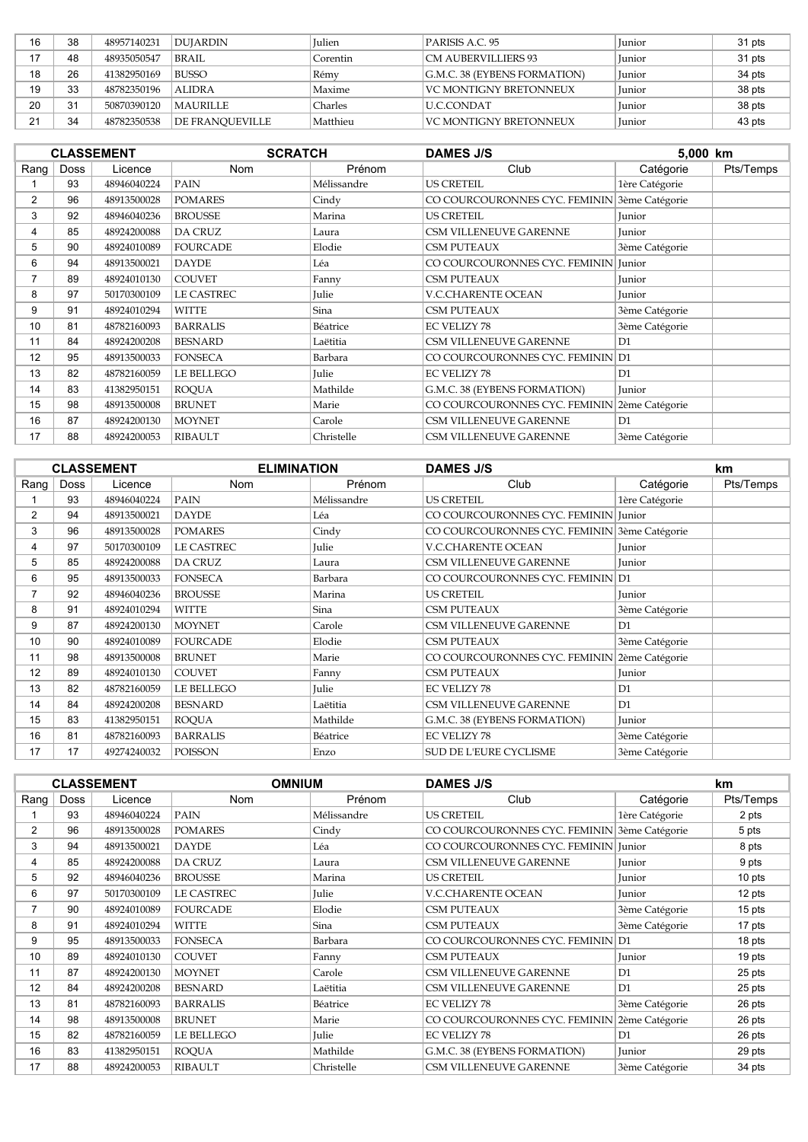| 16 | 38 | 48957140231 | DUJARDIN               | <b>Iulien</b> | PARISIS A.C. 95                     | Junior        | 31 pts |
|----|----|-------------|------------------------|---------------|-------------------------------------|---------------|--------|
|    | 48 | 48935050547 | <b>BRAIL</b>           | Corentin      | CM AUBERVILLIERS 93                 | <b>Iunior</b> | 31 pts |
| 18 | 26 | 41382950169 | <b>BUSSO</b>           | Rémy          | <b>G.M.C. 38 (EYBENS FORMATION)</b> | <b>Iunior</b> | 34 pts |
| 19 | 33 | 48782350196 | <b>ALIDRA</b>          | Maxime        | VC MONTIGNY BRETONNEUX              | <b>Iunior</b> | 38 pts |
| 20 | 31 | 50870390120 | MAURILLE               | Charles       | ILLC.CONDAT                         | <b>Iunior</b> | 38 pts |
| 21 | 34 | 48782350538 | <b>DE FRANQUEVILLE</b> | Matthieu      | VC MONTIGNY BRETONNEUX              | Junior        | 43 pts |

|                | <b>CLASSEMENT</b> |             | <b>SCRATCH</b>    |             | <b>DAMES J/S</b>                             |                | 5,000 km  |  |
|----------------|-------------------|-------------|-------------------|-------------|----------------------------------------------|----------------|-----------|--|
| Rang           | <b>Doss</b>       | Licence     | Nom               | Prénom      | Club                                         | Catégorie      | Pts/Temps |  |
|                | 93                | 48946040224 | <b>PAIN</b>       | Mélissandre | <b>US CRETEIL</b>                            | 1ère Catégorie |           |  |
| $\overline{2}$ | 96                | 48913500028 | <b>POMARES</b>    | Cindy       | CO COURCOURONNES CYC. FEMININ 3ème Catégorie |                |           |  |
| 3              | 92                | 48946040236 | <b>BROUSSE</b>    | Marina      | <b>US CRETEIL</b>                            | Junior         |           |  |
| 4              | 85                | 48924200088 | DA CRUZ           | Laura       | CSM VILLENEUVE GARENNE                       | Junior         |           |  |
| 5              | 90                | 48924010089 | <b>FOURCADE</b>   | Elodie      | <b>CSM PUTEAUX</b>                           | 3ème Catégorie |           |  |
| 6              | 94                | 48913500021 | <b>DAYDE</b>      | Léa         | CO COURCOURONNES CYC. FEMININ Junior         |                |           |  |
| 7              | 89                | 48924010130 | <b>COUVET</b>     | Fanny       | <b>CSM PUTEAUX</b>                           | Junior         |           |  |
| 8              | 97                | 50170300109 | <b>LE CASTREC</b> | Julie       | <b>V.C.CHARENTE OCEAN</b>                    | Junior         |           |  |
| 9              | 91                | 48924010294 | <b>WITTE</b>      | Sina        | <b>CSM PUTEAUX</b>                           | 3ème Catégorie |           |  |
| 10             | 81                | 48782160093 | <b>BARRALIS</b>   | Béatrice    | <b>EC VELIZY 78</b>                          | 3ème Catégorie |           |  |
| 11             | 84                | 48924200208 | <b>BESNARD</b>    | Laëtitia    | <b>CSM VILLENEUVE GARENNE</b>                | D1             |           |  |
| 12             | 95                | 48913500033 | <b>FONSECA</b>    | Barbara     | CO COURCOURONNES CYC. FEMININ D1             |                |           |  |
| 13             | 82                | 48782160059 | LE BELLEGO        | Julie       | <b>EC VELIZY 78</b>                          | D <sub>1</sub> |           |  |
| 14             | 83                | 41382950151 | <b>ROQUA</b>      | Mathilde    | G.M.C. 38 (EYBENS FORMATION)                 | Junior         |           |  |
| 15             | 98                | 48913500008 | <b>BRUNET</b>     | Marie       | CO COURCOURONNES CYC. FEMININ 2ème Catégorie |                |           |  |
| 16             | 87                | 48924200130 | <b>MOYNET</b>     | Carole      | CSM VILLENEUVE GARENNE                       | D1             |           |  |
| 17             | 88                | 48924200053 | <b>RIBAULT</b>    | Christelle  | <b>CSM VILLENEUVE GARENNE</b>                | 3ème Catégorie |           |  |

|                | <b>CLASSEMENT</b> |             |                 | <b>ELIMINATION</b> | <b>DAMES J/S</b>                             |                | km        |
|----------------|-------------------|-------------|-----------------|--------------------|----------------------------------------------|----------------|-----------|
| $\text{Ranq}$  | Doss              | Licence     | <b>Nom</b>      | Prénom             | Club                                         | Catégorie      | Pts/Temps |
|                | 93                | 48946040224 | <b>PAIN</b>     | Mélissandre        | <b>US CRETEIL</b>                            | 1ère Catégorie |           |
| $\overline{2}$ | 94                | 48913500021 | <b>DAYDE</b>    | Léa                | CO COURCOURONNES CYC. FEMININ Junior         |                |           |
| 3              | 96                | 48913500028 | <b>POMARES</b>  | Cindy              | CO COURCOURONNES CYC. FEMININ 3ème Catégorie |                |           |
| 4              | 97                | 50170300109 | LE CASTREC      | Julie              | <b>V.C.CHARENTE OCEAN</b>                    | Junior         |           |
| 5              | 85                | 48924200088 | <b>DA CRUZ</b>  | Laura              | CSM VILLENEUVE GARENNE                       | Junior         |           |
| 6              | 95                | 48913500033 | <b>FONSECA</b>  | Barbara            | CO COURCOURONNES CYC. FEMININ D1             |                |           |
| 7              | 92                | 48946040236 | <b>BROUSSE</b>  | Marina             | <b>US CRETEIL</b>                            | Junior         |           |
| 8              | 91                | 48924010294 | <b>WITTE</b>    | Sina               | <b>CSM PUTEAUX</b>                           | 3ème Catégorie |           |
| 9              | 87                | 48924200130 | <b>MOYNET</b>   | Carole             | CSM VILLENEUVE GARENNE                       | D1             |           |
| 10             | 90                | 48924010089 | <b>FOURCADE</b> | Elodie             | <b>CSM PUTEAUX</b>                           | 3ème Catégorie |           |
| 11             | 98                | 48913500008 | <b>BRUNET</b>   | Marie              | CO COURCOURONNES CYC. FEMININ 2ème Catégorie |                |           |
| 12             | 89                | 48924010130 | <b>COUVET</b>   | Fanny              | <b>CSM PUTEAUX</b>                           | Junior         |           |
| 13             | 82                | 48782160059 | LE BELLEGO      | Julie              | <b>EC VELIZY 78</b>                          | D1             |           |
| 14             | 84                | 48924200208 | <b>BESNARD</b>  | Laëtitia           | CSM VILLENEUVE GARENNE                       | D1             |           |
| 15             | 83                | 41382950151 | <b>ROQUA</b>    | Mathilde           | G.M.C. 38 (EYBENS FORMATION)                 | Junior         |           |
| 16             | 81                | 48782160093 | <b>BARRALIS</b> | Béatrice           | <b>EC VELIZY 78</b>                          | 3ème Catégorie |           |
| 17             | 17                | 49274240032 | POISSON         | Enzo               | SUD DE L'EURE CYCLISME                       | 3ème Catégorie |           |

|                | <b>CLASSEMENT</b> |             | <b>OMNIUM</b>     |             | <b>DAMES J/S</b>                             | km             |           |
|----------------|-------------------|-------------|-------------------|-------------|----------------------------------------------|----------------|-----------|
| Rang           | Doss              | Licence     | <b>Nom</b>        | Prénom      | Club                                         | Catégorie      | Pts/Temps |
|                | 93                | 48946040224 | PAIN              | Mélissandre | <b>US CRETEIL</b>                            | 1ère Catégorie | 2 pts     |
| 2              | 96                | 48913500028 | <b>POMARES</b>    | Cindy       | CO COURCOURONNES CYC. FEMININ 3ème Catégorie |                | 5 pts     |
| 3              | 94                | 48913500021 | <b>DAYDE</b>      | Léa         | CO COURCOURONNES CYC. FEMININ Junior         |                | 8 pts     |
| 4              | 85                | 48924200088 | <b>DA CRUZ</b>    | Laura       | <b>CSM VILLENEUVE GARENNE</b>                | Junior         | 9 pts     |
| 5              | 92                | 48946040236 | <b>BROUSSE</b>    | Marina      | <b>US CRETEIL</b>                            | Junior         | 10 pts    |
| 6              | 97                | 50170300109 | <b>LE CASTREC</b> | Julie       | <b>V.C.CHARENTE OCEAN</b>                    | Junior         | 12 pts    |
| $\overline{7}$ | 90                | 48924010089 | <b>FOURCADE</b>   | Elodie      | <b>CSM PUTEAUX</b>                           | 3ème Catégorie | 15 pts    |
| 8              | 91                | 48924010294 | WITTE             | Sina        | <b>CSM PUTEAUX</b>                           | 3ème Catégorie | 17 pts    |
| 9              | 95                | 48913500033 | <b>FONSECA</b>    | Barbara     | CO COURCOURONNES CYC. FEMININ D1             |                | 18 pts    |
| 10             | 89                | 48924010130 | <b>COUVET</b>     | Fanny       | <b>CSM PUTEAUX</b>                           | Junior         | 19 pts    |
| 11             | 87                | 48924200130 | <b>MOYNET</b>     | Carole      | CSM VILLENEUVE GARENNE                       | D1             | 25 pts    |
| 12             | 84                | 48924200208 | <b>BESNARD</b>    | Laëtitia    | CSM VILLENEUVE GARENNE                       | D1             | 25 pts    |
| 13             | 81                | 48782160093 | <b>BARRALIS</b>   | Béatrice    | <b>EC VELIZY 78</b>                          | 3ème Catégorie | 26 pts    |
| 14             | 98                | 48913500008 | <b>BRUNET</b>     | Marie       | CO COURCOURONNES CYC. FEMININ 2ème Catégorie |                | 26 pts    |
| 15             | 82                | 48782160059 | LE BELLEGO        | Julie       | <b>EC VELIZY 78</b>                          | D1             | 26 pts    |
| 16             | 83                | 41382950151 | <b>ROOUA</b>      | Mathilde    | G.M.C. 38 (EYBENS FORMATION)                 | Junior         | 29 pts    |
| 17             | 88                | 48924200053 | <b>RIBAULT</b>    | Christelle  | CSM VILLENEUVE GARENNE                       | 3ème Catégorie | 34 pts    |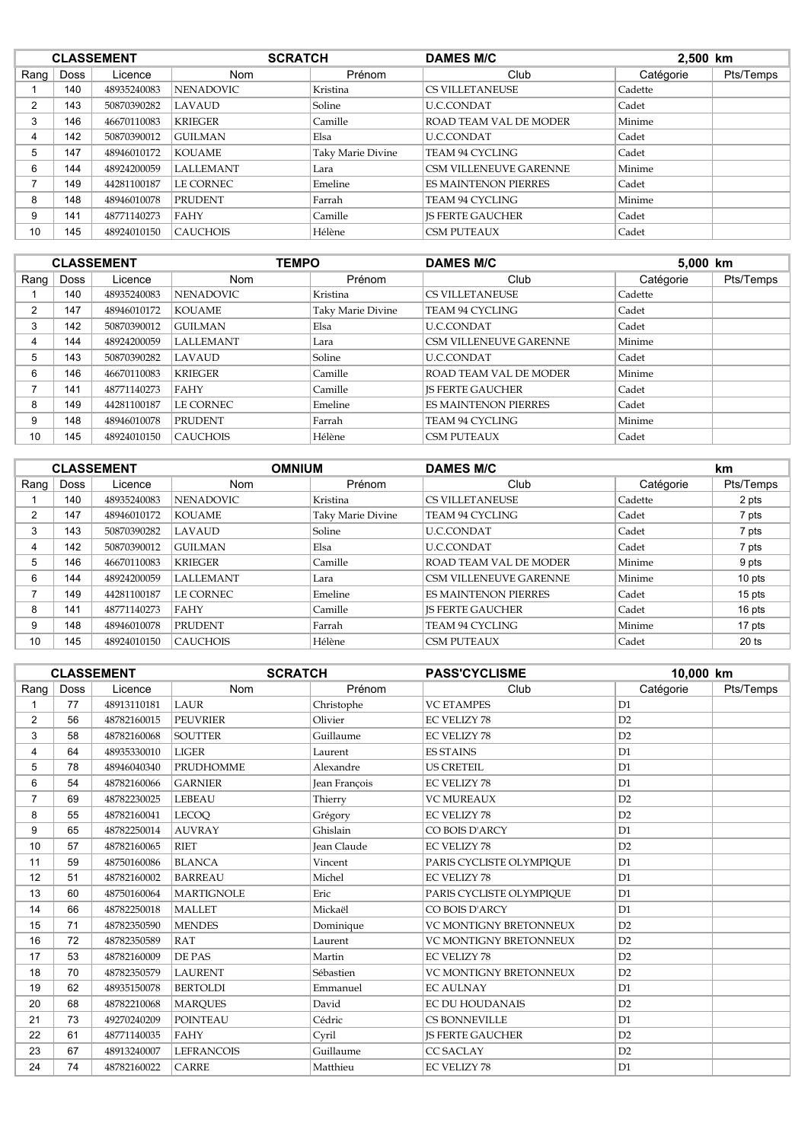|          | <b>CLASSEMENT</b> |             | <b>SCRATCH</b>   |                   | <b>DAMES M/C</b>              | 2,500 km  |           |
|----------|-------------------|-------------|------------------|-------------------|-------------------------------|-----------|-----------|
| Rang $ $ | <b>Doss</b>       | Licence     | <b>Nom</b>       | Prénom            | Club                          | Catégorie | Pts/Temps |
|          | 140               | 48935240083 | <b>NENADOVIC</b> | Kristina          | <b>CS VILLETANEUSE</b>        | Cadette   |           |
| 2        | 143               | 50870390282 | LAVAUD           | Soline            | <b>U.C.CONDAT</b>             | Cadet     |           |
| 3        | 146               | 46670110083 | <b>KRIEGER</b>   | Camille           | ROAD TEAM VAL DE MODER        | Minime    |           |
| 4        | 142               | 50870390012 | <b>GUILMAN</b>   | Elsa              | <b>U.C.CONDAT</b>             | Cadet     |           |
| 5        | 147               | 48946010172 | <b>KOUAME</b>    | Taky Marie Divine | TEAM 94 CYCLING               | Cadet     |           |
| 6        | 144               | 48924200059 | <b>LALLEMANT</b> | Lara              | <b>CSM VILLENEUVE GARENNE</b> | Minime    |           |
|          | 149               | 44281100187 | <b>LE CORNEC</b> | Emeline           | <b>ES MAINTENON PIERRES</b>   | Cadet     |           |
| 8        | 148               | 48946010078 | <b>PRUDENT</b>   | Farrah            | TEAM 94 CYCLING               | Minime    |           |
| 9        | 141               | 48771140273 | FAHY             | Camille           | <b>IS FERTE GAUCHER</b>       | Cadet     |           |
| 10       | 145               | 48924010150 | <b>CAUCHOIS</b>  | Hélène            | <b>CSM PUTEAUX</b>            | Cadet     |           |

|                |      | <b>CLASSEMENT</b> |                  | <b>TEMPO</b><br><b>DAMES M/C</b> |                               | 5,000 km  |           |
|----------------|------|-------------------|------------------|----------------------------------|-------------------------------|-----------|-----------|
| Rang           | Doss | Licence           | <b>Nom</b>       | Prénom                           | Club                          | Catégorie | Pts/Temps |
|                | 140  | 48935240083       | <b>NENADOVIC</b> | Kristina                         | <b>CS VILLETANEUSE</b>        | Cadette   |           |
| $\overline{2}$ | 147  | 48946010172       | <b>KOUAME</b>    | Taky Marie Divine                | <b>TEAM 94 CYCLING</b>        | Cadet     |           |
| 3              | 142  | 50870390012       | <b>GUILMAN</b>   | Elsa                             | <b>U.C.CONDAT</b>             | Cadet     |           |
| 4              | 144  | 48924200059       | <b>LALLEMANT</b> | Lara                             | <b>CSM VILLENEUVE GARENNE</b> | Minime    |           |
| 5              | 143  | 50870390282       | LAVAUD           | Soline                           | <b>U.C.CONDAT</b>             | Cadet     |           |
| 6              | 146  | 46670110083       | <b>KRIEGER</b>   | Camille                          | ROAD TEAM VAL DE MODER        | Minime    |           |
| ⇁              | 141  | 48771140273       | <b>FAHY</b>      | Camille                          | <b>IS FERTE GAUCHER</b>       | Cadet     |           |
| 8              | 149  | 44281100187       | LE CORNEC        | Emeline                          | <b>ES MAINTENON PIERRES</b>   | Cadet     |           |
| 9              | 148  | 48946010078       | <b>PRUDENT</b>   | Farrah                           | <b>TEAM 94 CYCLING</b>        | Minime    |           |
| 10             | 145  | 48924010150       | <b>CAUCHOIS</b>  | Hélène                           | <b>CSM PUTEAUX</b>            | Cadet     |           |

|                |             | <b>CLASSEMENT</b> | <b>OMNIUM</b>    | <b>DAMES M/C</b>  |                               | km        |           |
|----------------|-------------|-------------------|------------------|-------------------|-------------------------------|-----------|-----------|
| Rang           | <b>Doss</b> | Licence           | <b>Nom</b>       | Prénom            | Club                          | Catégorie | Pts/Temps |
|                | 140         | 48935240083       | <b>NENADOVIC</b> | Kristina          | <b>CS VILLETANEUSE</b>        | Cadette   | 2 pts     |
| $\overline{2}$ | 147         | 48946010172       | <b>KOUAME</b>    | Taky Marie Divine | <b>TEAM 94 CYCLING</b>        | Cadet     | 7 pts     |
| 3              | 143         | 50870390282       | LAVAUD           | Soline            | U.C.CONDAT                    | Cadet     | 7 pts     |
| 4              | 142         | 50870390012       | <b>GUILMAN</b>   | Elsa              | <b>U.C.CONDAT</b>             | Cadet     | 7 pts     |
| 5              | 146         | 46670110083       | <b>KRIEGER</b>   | Camille           | ROAD TEAM VAL DE MODER        | Minime    | 9 pts     |
| 6              | 144         | 48924200059       | <b>LALLEMANT</b> | Lara              | <b>CSM VILLENEUVE GARENNE</b> | Minime    | 10 pts    |
| $\overline{ }$ | 149         | 44281100187       | LE CORNEC        | Emeline           | <b>ES MAINTENON PIERRES</b>   | Cadet     | 15 pts    |
| 8              | 141         | 48771140273       | FAHY             | Camille           | <b>IS FERTE GAUCHER</b>       | Cadet     | 16 pts    |
| 9              | 148         | 48946010078       | <b>PRUDENT</b>   | Farrah            | <b>TEAM 94 CYCLING</b>        | Minime    | 17 pts    |
| 10             | 145         | 48924010150       | <b>CAUCHOIS</b>  | Hélène            | <b>CSM PUTEAUX</b>            | Cadet     | $20$ ts   |

|                | <b>CLASSEMENT</b> |             |                   | <b>SCRATCH</b><br><b>PASS'CYCLISME</b> |                               | 10,000 km      |           |
|----------------|-------------------|-------------|-------------------|----------------------------------------|-------------------------------|----------------|-----------|
| Rang           | Doss              | Licence     | Nom               | Prénom                                 | Club                          | Catégorie      | Pts/Temps |
|                | 77                | 48913110181 | LAUR              | Christophe                             | <b>VC ETAMPES</b>             | D1             |           |
| $\overline{2}$ | 56                | 48782160015 | <b>PEUVRIER</b>   | Olivier                                | <b>EC VELIZY 78</b>           | D <sub>2</sub> |           |
| 3              | 58                | 48782160068 | <b>SOUTTER</b>    | Guillaume                              | <b>EC VELIZY 78</b>           | D2             |           |
| 4              | 64                | 48935330010 | <b>LIGER</b>      | Laurent                                | <b>ES STAINS</b>              | D <sub>1</sub> |           |
| 5              | 78                | 48946040340 | <b>PRUDHOMME</b>  | Alexandre                              | <b>US CRETEIL</b>             | D1             |           |
| 6              | 54                | 48782160066 | <b>GARNIER</b>    | Jean François                          | <b>EC VELIZY 78</b>           | D1             |           |
| 7              | 69                | 48782230025 | <b>LEBEAU</b>     | Thierry                                | <b>VC MUREAUX</b>             | D <sub>2</sub> |           |
| 8              | 55                | 48782160041 | <b>LECOO</b>      | Grégory                                | <b>EC VELIZY 78</b>           | D2             |           |
| 9              | 65                | 48782250014 | <b>AUVRAY</b>     | Ghislain                               | CO BOIS D'ARCY                | D1             |           |
| 10             | 57                | 48782160065 | <b>RIET</b>       | Jean Claude                            | <b>EC VELIZY 78</b>           | D <sub>2</sub> |           |
| 11             | 59                | 48750160086 | <b>BLANCA</b>     | Vincent                                | PARIS CYCLISTE OLYMPIOUE      | D1             |           |
| 12             | 51                | 48782160002 | <b>BARREAU</b>    | Michel                                 | <b>EC VELIZY 78</b>           | D1             |           |
| 13             | 60                | 48750160064 | <b>MARTIGNOLE</b> | Eric                                   | PARIS CYCLISTE OLYMPIOUE      | D1             |           |
| 14             | 66                | 48782250018 | <b>MALLET</b>     | Mickaël                                | CO BOIS D'ARCY                | D1             |           |
| 15             | 71                | 48782350590 | <b>MENDES</b>     | Dominique                              | <b>VC MONTIGNY BRETONNEUX</b> | D <sub>2</sub> |           |
| 16             | 72                | 48782350589 | RAT               | Laurent                                | VC MONTIGNY BRETONNEUX        | D2             |           |
| 17             | 53                | 48782160009 | DE PAS            | Martin                                 | <b>EC VELIZY 78</b>           | D <sub>2</sub> |           |
| 18             | 70                | 48782350579 | <b>LAURENT</b>    | Sébastien                              | VC MONTIGNY BRETONNEUX        | D2             |           |
| 19             | 62                | 48935150078 | <b>BERTOLDI</b>   | Emmanuel                               | <b>EC AULNAY</b>              | D1             |           |
| 20             | 68                | 48782210068 | <b>MARQUES</b>    | David                                  | <b>EC DU HOUDANAIS</b>        | D <sub>2</sub> |           |
| 21             | 73                | 49270240209 | <b>POINTEAU</b>   | Cédric                                 | <b>CS BONNEVILLE</b>          | D1             |           |
| 22             | 61                | 48771140035 | FAHY              | Cvril                                  | <b>IS FERTE GAUCHER</b>       | D2             |           |
| 23             | 67                | 48913240007 | <b>LEFRANCOIS</b> | Guillaume                              | <b>CC SACLAY</b>              | D <sub>2</sub> |           |
| 24             | 74                | 48782160022 | <b>CARRE</b>      | Matthieu                               | <b>EC VELIZY 78</b>           | D1             |           |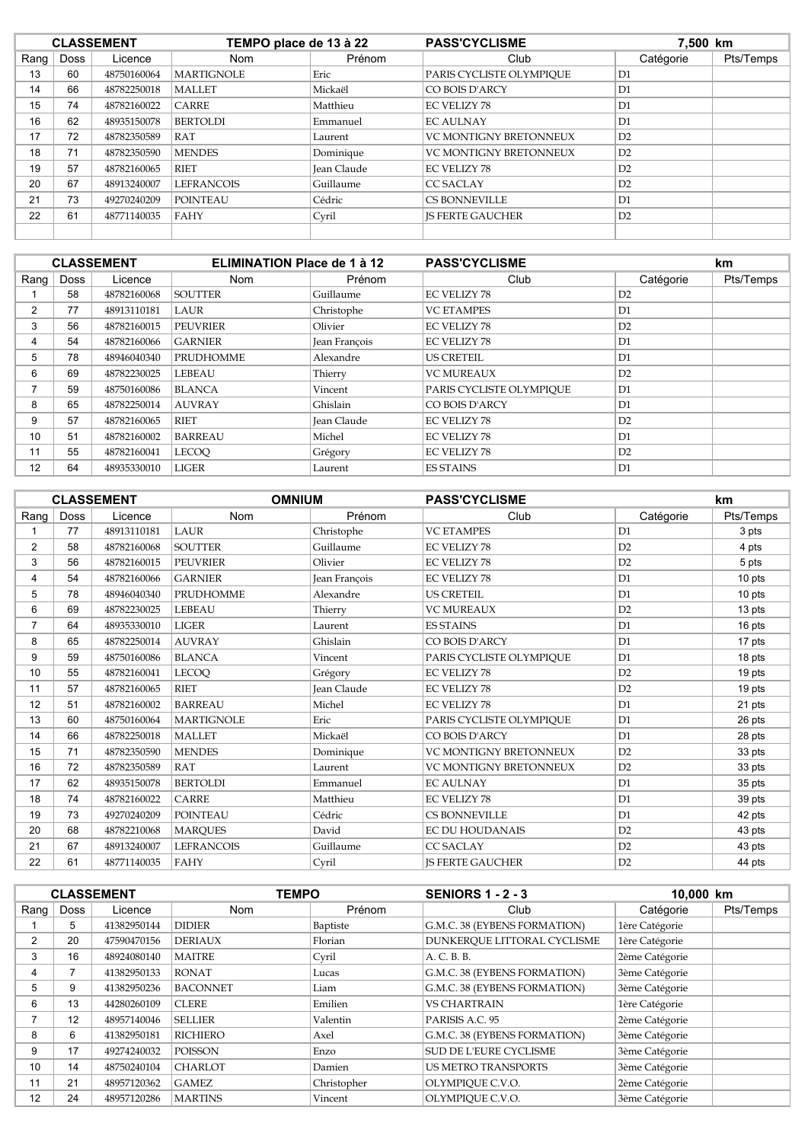|          | <b>CLASSEMENT</b> |             | TEMPO place de 13 à 22 |                    | <b>PASS'CYCLISME</b>          | 7,500 km  |           |
|----------|-------------------|-------------|------------------------|--------------------|-------------------------------|-----------|-----------|
| Rang $ $ | Doss              | Licence     | <b>Nom</b>             | Prénom             | Club                          | Catégorie | Pts/Temps |
| 13       | 60                | 48750160064 | <b>MARTIGNOLE</b>      | Eric               | PARIS CYCLISTE OLYMPIOUE      | D1        |           |
| 14       | 66                | 48782250018 | <b>MALLET</b>          | Mickaël            | CO BOIS D'ARCY                | D1        |           |
| 15       | 74                | 48782160022 | <b>CARRE</b>           | Matthieu           | <b>EC VELIZY 78</b>           | D1        |           |
| 16       | 62                | 48935150078 | <b>BERTOLDI</b>        | Emmanuel           | <b>EC AULNAY</b>              | D1        |           |
| 17       | 72                | 48782350589 | RAT                    | Laurent            | <b>VC MONTIGNY BRETONNEUX</b> | D2        |           |
| 18       | 71                | 48782350590 | <b>MENDES</b>          | Dominique          | <b>VC MONTIGNY BRETONNEUX</b> | D2        |           |
| 19       | 57                | 48782160065 | RIET                   | <b>Jean Claude</b> | EC VELIZY 78                  | D2        |           |
| 20       | 67                | 48913240007 | <b>LEFRANCOIS</b>      | Guillaume          | <b>CC SACLAY</b>              | D2        |           |
| 21       | 73                | 49270240209 | <b>POINTEAU</b>        | Cédric             | <b>CS BONNEVILLE</b>          | D1        |           |
| 22       | 61                | 48771140035 | <b>FAHY</b>            | Cyril              | <b>IS FERTE GAUCHER</b>       | D2        |           |
|          |                   |             |                        |                    |                               |           |           |

|                |      | <b>CLASSEMENT</b> | <b>ELIMINATION Place de 1 à 12</b> |                      | <b>PASS'CYCLISME</b>     |           | km.       |
|----------------|------|-------------------|------------------------------------|----------------------|--------------------------|-----------|-----------|
| Rang $ $       | Doss | Licence           | <b>Nom</b>                         | Prénom               | Club                     | Catégorie | Pts/Temps |
|                | 58   | 48782160068       | <b>SOUTTER</b>                     | Guillaume            | <b>EC VELIZY 78</b>      | D2        |           |
| $\overline{2}$ | 77   | 48913110181       | LAUR                               | Christophe           | <b>VC ETAMPES</b>        | D1        |           |
| 3              | 56   | 48782160015       | <b>PEUVRIER</b>                    | Olivier              | <b>EC VELIZY 78</b>      | D2        |           |
| 4              | 54   | 48782160066       | <b>GARNIER</b>                     | <b>Jean Francois</b> | <b>EC VELIZY 78</b>      | D1        |           |
| 5              | 78   | 48946040340       | <b>PRUDHOMME</b>                   | Alexandre            | <b>US CRETEIL</b>        | D1        |           |
| 6              | 69   | 48782230025       | <b>LEBEAU</b>                      | Thierry              | <b>VC MUREAUX</b>        | D2        |           |
|                | 59   | 48750160086       | <b>BLANCA</b>                      | Vincent              | PARIS CYCLISTE OLYMPIOUE | D1        |           |
| 8              | 65   | 48782250014       | <b>AUVRAY</b>                      | Ghislain             | CO BOIS D'ARCY           | D1        |           |
| 9              | 57   | 48782160065       | <b>RIET</b>                        | Jean Claude          | <b>EC VELIZY 78</b>      | D2        |           |
| 10             | 51   | 48782160002       | <b>BARREAU</b>                     | Michel               | <b>EC VELIZY 78</b>      | D1        |           |
| 11             | 55   | 48782160041       | <b>LECOO</b>                       | Grégory              | <b>EC VELIZY 78</b>      | D2        |           |
| 12             | 64   | 48935330010       | <b>LIGER</b>                       | Laurent              | <b>ES STAINS</b>         | D1        |           |

|                |      | <b>CLASSEMENT</b> | <b>OMNIUM</b>     |                    | <b>PASS'CYCLISME</b>          |                | km        |
|----------------|------|-------------------|-------------------|--------------------|-------------------------------|----------------|-----------|
| Rang           | Doss | Licence           | <b>Nom</b>        | Prénom             | Club                          | Catégorie      | Pts/Temps |
|                | 77   | 48913110181       | <b>LAUR</b>       | Christophe         | <b>VC ETAMPES</b>             | D1             | 3 pts     |
| 2              | 58   | 48782160068       | <b>SOUTTER</b>    | Guillaume          | <b>EC VELIZY 78</b>           | D2             | 4 pts     |
| 3              | 56   | 48782160015       | <b>PEUVRIER</b>   | Olivier            | <b>EC VELIZY 78</b>           | D2             | 5 pts     |
| 4              | 54   | 48782160066       | <b>GARNIER</b>    | Jean François      | <b>EC VELIZY 78</b>           | D1             | 10 pts    |
| 5              | 78   | 48946040340       | <b>PRUDHOMME</b>  | Alexandre          | <b>US CRETEIL</b>             | D1             | 10 pts    |
| 6              | 69   | 48782230025       | <b>LEBEAU</b>     | Thierry            | <b>VC MUREAUX</b>             | D2             | 13 pts    |
| $\overline{7}$ | 64   | 48935330010       | <b>LIGER</b>      | Laurent            | <b>ES STAINS</b>              | D1             | 16 pts    |
| 8              | 65   | 48782250014       | <b>AUVRAY</b>     | Ghislain           | CO BOIS D'ARCY                | D1             | 17 pts    |
| 9              | 59   | 48750160086       | <b>BLANCA</b>     | Vincent            | PARIS CYCLISTE OLYMPIOUE      | D1             | 18 pts    |
| 10             | 55   | 48782160041       | <b>LECOO</b>      | Grégory            | <b>EC VELIZY 78</b>           | D2             | 19 pts    |
| 11             | 57   | 48782160065       | <b>RIET</b>       | <b>Jean Claude</b> | <b>EC VELIZY 78</b>           | D2             | 19 pts    |
| 12             | 51   | 48782160002       | <b>BARREAU</b>    | Michel             | <b>EC VELIZY 78</b>           | D1             | 21 pts    |
| 13             | 60   | 48750160064       | <b>MARTIGNOLE</b> | Eric               | PARIS CYCLISTE OLYMPIQUE      | D1             | 26 pts    |
| 14             | 66   | 48782250018       | <b>MALLET</b>     | Mickaël            | CO BOIS D'ARCY                | D1             | 28 pts    |
| 15             | 71   | 48782350590       | <b>MENDES</b>     | Dominique          | <b>VC MONTIGNY BRETONNEUX</b> | D <sub>2</sub> | 33 pts    |
| 16             | 72   | 48782350589       | <b>RAT</b>        | Laurent            | VC MONTIGNY BRETONNEUX        | D <sub>2</sub> | 33 pts    |
| 17             | 62   | 48935150078       | <b>BERTOLDI</b>   | Emmanuel           | <b>EC AULNAY</b>              | D1             | 35 pts    |
| 18             | 74   | 48782160022       | <b>CARRE</b>      | Matthieu           | <b>EC VELIZY 78</b>           | D1             | 39 pts    |
| 19             | 73   | 49270240209       | <b>POINTEAU</b>   | Cédric             | <b>CS BONNEVILLE</b>          | D1             | 42 pts    |
| 20             | 68   | 48782210068       | <b>MARQUES</b>    | David              | <b>EC DU HOUDANAIS</b>        | D2             | 43 pts    |
| 21             | 67   | 48913240007       | <b>LEFRANCOIS</b> | Guillaume          | <b>CC SACLAY</b>              | D2             | 43 pts    |
| 22             | 61   | 48771140035       | FAHY              | Cvril              | <b>IS FERTE GAUCHER</b>       | D2             | 44 pts    |

|      | <b>CLASSEMENT</b> |             | <b>TEMPO</b>    |             | <b>SENIORS 1 - 2 - 3</b>      | 10,000 km      |           |
|------|-------------------|-------------|-----------------|-------------|-------------------------------|----------------|-----------|
| Rang | Doss              | Licence     | <b>Nom</b>      | Prénom      | Club                          | Catégorie      | Pts/Temps |
|      | 5                 | 41382950144 | <b>DIDIER</b>   | Baptiste    | G.M.C. 38 (EYBENS FORMATION)  | 1ère Catégorie |           |
| 2    | 20                | 47590470156 | <b>DERIAUX</b>  | Florian     | DUNKEROUE LITTORAL CYCLISME   | 1ère Catégorie |           |
| 3    | 16                | 48924080140 | <b>MAITRE</b>   | Cyril       | A. C. B. B.                   | 2ème Catégorie |           |
| 4    |                   | 41382950133 | <b>RONAT</b>    | Lucas       | G.M.C. 38 (EYBENS FORMATION)  | 3ème Catégorie |           |
| 5    | 9                 | 41382950236 | <b>BACONNET</b> | Liam        | G.M.C. 38 (EYBENS FORMATION)  | 3ème Catégorie |           |
| 6    | 13                | 44280260109 | <b>CLERE</b>    | Emilien     | <b>VS CHARTRAIN</b>           | 1ère Catégorie |           |
|      | 12                | 48957140046 | <b>SELLIER</b>  | Valentin    | PARISIS A.C. 95               | 2ème Catégorie |           |
| 8    | 6                 | 41382950181 | <b>RICHIERO</b> | Axel        | G.M.C. 38 (EYBENS FORMATION)  | 3ème Catégorie |           |
| 9    | 17                | 49274240032 | <b>POISSON</b>  | Enzo        | <b>SUD DE L'EURE CYCLISME</b> | 3ème Catégorie |           |
| 10   | 14                | 48750240104 | <b>CHARLOT</b>  | Damien      | <b>US METRO TRANSPORTS</b>    | 3ème Catégorie |           |
| 11   | 21                | 48957120362 | <b>GAMEZ</b>    | Christopher | OLYMPIOUE C.V.O.              | 2ème Catégorie |           |
| 12   | 24                | 48957120286 | <b>MARTINS</b>  | Vincent     | OLYMPIOUE C.V.O.              | 3ème Catégorie |           |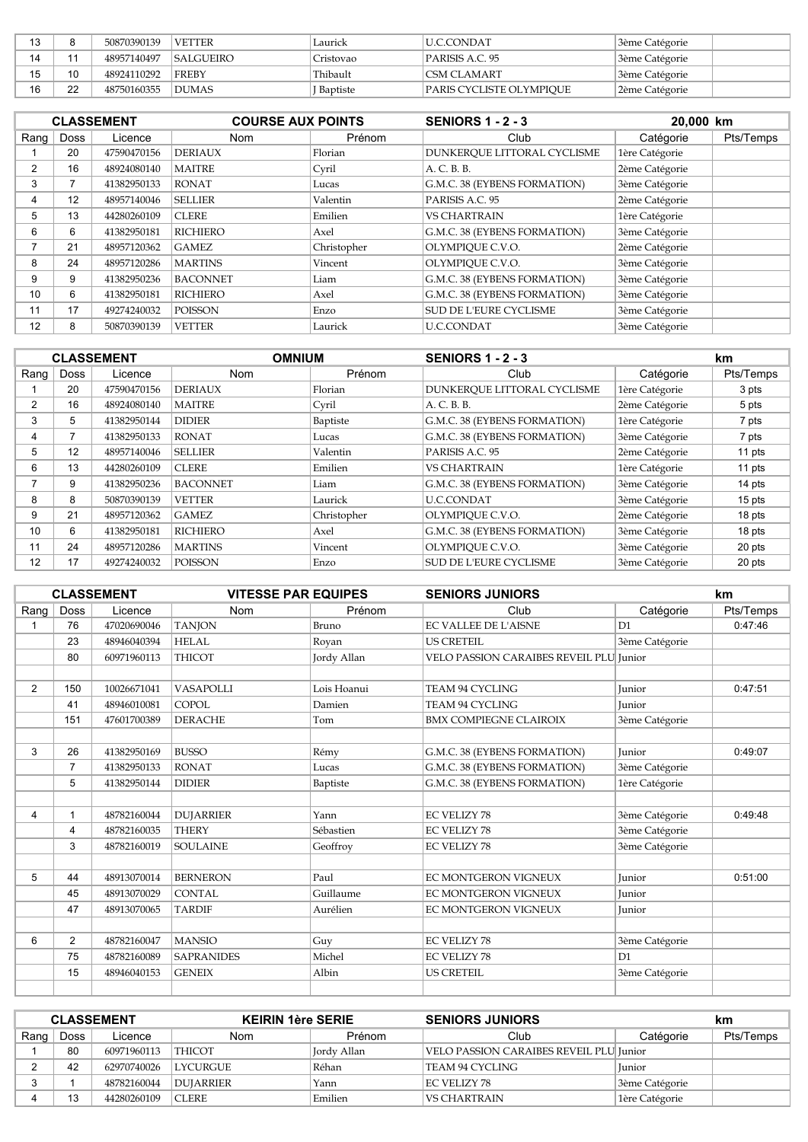| 12 |    | 50870390139 | <b>VETTER</b>    | Laurick   | IU.C.CONDAT              | 3ème Catégorie |
|----|----|-------------|------------------|-----------|--------------------------|----------------|
| 14 |    | 48957140497 | <b>SALGUEIRO</b> | Cristovao | IPARISIS A.C. 95         | 3ème Catégorie |
| 15 | 10 | 48924110292 | <b>IFREBY</b>    | Thibault  | <b>ICSM CLAMART</b>      | 3ème Catégorie |
| 16 | つつ | 48750160355 | <b>DUMAS</b>     | Baptiste  | PARIS CYCLISTE OLYMPIOUE | 2ème Catégorie |

|                 |      | <b>CLASSEMENT</b> | <b>COURSE AUX POINTS</b> | <b>SENIORS 1 - 2 - 3</b> |                               | 20,000 km      |           |
|-----------------|------|-------------------|--------------------------|--------------------------|-------------------------------|----------------|-----------|
| $R$ ang         | Doss | Licence           | <b>Nom</b>               | Prénom                   | Club                          | Catégorie      | Pts/Temps |
|                 | 20   | 47590470156       | <b>DERIAUX</b>           | Florian                  | DUNKEROUE LITTORAL CYCLISME   | 1ère Catégorie |           |
| $\overline{2}$  | 16   | 48924080140       | <b>MAITRE</b>            | Cvril                    | A. C. B. B.                   | 2ème Catégorie |           |
| 3               |      | 41382950133       | <b>RONAT</b>             | Lucas                    | G.M.C. 38 (EYBENS FORMATION)  | 3ème Catégorie |           |
| 4               | 12   | 48957140046       | <b>SELLIER</b>           | Valentin                 | PARISIS A.C. 95               | 2ème Catégorie |           |
| 5               | 13   | 44280260109       | <b>CLERE</b>             | Emilien                  | <b>VS CHARTRAIN</b>           | 1ère Catégorie |           |
| 6               | 6    | 41382950181       | <b>RICHIERO</b>          | Axel                     | G.M.C. 38 (EYBENS FORMATION)  | 3ème Catégorie |           |
|                 | 21   | 48957120362       | <b>GAMEZ</b>             | Christopher              | OLYMPIOUE C.V.O.              | 2ème Catégorie |           |
| 8               | 24   | 48957120286       | <b>MARTINS</b>           | Vincent                  | OLYMPIOUE C.V.O.              | 3ème Catégorie |           |
| 9               | 9    | 41382950236       | <b>BACONNET</b>          | Liam                     | G.M.C. 38 (EYBENS FORMATION)  | 3ème Catégorie |           |
| 10 <sup>1</sup> | 6    | 41382950181       | RICHIERO                 | Axel                     | G.M.C. 38 (EYBENS FORMATION)  | 3ème Catégorie |           |
| 11              | 17   | 49274240032       | <b>POISSON</b>           | Enzo                     | <b>SUD DE L'EURE CYCLISME</b> | 3ème Catégorie |           |
| 12              | 8    | 50870390139       | <b>VETTER</b>            | Laurick                  | <b>U.C.CONDAT</b>             | 3ème Catégorie |           |

|      | <b>CLASSEMENT</b> |             |                 | <b>OMNIUM</b> | <b>SENIORS 1 - 2 - 3</b>      |                | km        |
|------|-------------------|-------------|-----------------|---------------|-------------------------------|----------------|-----------|
| Rang | <b>Doss</b>       | Licence     | <b>Nom</b>      | Prénom        | Club                          | Catégorie      | Pts/Temps |
|      | 20                | 47590470156 | <b>DERIAUX</b>  | Florian       | DUNKEROUE LITTORAL CYCLISME   | 1ère Catégorie | 3 pts     |
| 2    | 16                | 48924080140 | <b>MAITRE</b>   | Cyril         | A. C. B. B.                   | 2ème Catégorie | 5 pts     |
| 3    | 5                 | 41382950144 | <b>DIDIER</b>   | Baptiste      | G.M.C. 38 (EYBENS FORMATION)  | 1ère Catégorie | 7 pts     |
| 4    |                   | 41382950133 | <b>RONAT</b>    | Lucas         | G.M.C. 38 (EYBENS FORMATION)  | 3ème Catégorie | 7 pts     |
| 5    | 12                | 48957140046 | <b>SELLIER</b>  | Valentin      | PARISIS A.C. 95               | 2ème Catégorie | 11 pts    |
| 6    | 13                | 44280260109 | <b>CLERE</b>    | Emilien       | <b>VS CHARTRAIN</b>           | 1ère Catégorie | 11 pts    |
| ⇁    | 9                 | 41382950236 | <b>BACONNET</b> | Liam          | G.M.C. 38 (EYBENS FORMATION)  | 3ème Catégorie | 14 pts    |
| 8    | 8                 | 50870390139 | <b>VETTER</b>   | Laurick       | <b>U.C.CONDAT</b>             | 3ème Catégorie | 15 pts    |
| 9    | 21                | 48957120362 | GAMEZ.          | Christopher   | OLYMPIOUE C.V.O.              | 2ème Catégorie | 18 pts    |
| 10   | 6                 | 41382950181 | <b>RICHIERO</b> | Axel          | G.M.C. 38 (EYBENS FORMATION)  | 3ème Catégorie | 18 pts    |
| 11   | 24                | 48957120286 | <b>MARTINS</b>  | Vincent       | OLYMPIOUE C.V.O.              | 3ème Catégorie | 20 pts    |
| 12   | 17                | 49274240032 | <b>POISSON</b>  | Enzo          | <b>SUD DE L'EURE CYCLISME</b> | 3ème Catégorie | 20 pts    |

| <b>CLASSEMENT</b> |                | <b>VITESSE PAR EQUIPES</b> |                   | <b>SENIORS JUNIORS</b> |                                         | km             |           |
|-------------------|----------------|----------------------------|-------------------|------------------------|-----------------------------------------|----------------|-----------|
| Rang              | Doss           | Licence                    | <b>Nom</b>        | Prénom                 | Club                                    | Catégorie      | Pts/Temps |
|                   | 76             | 47020690046                | <b>TANJON</b>     | Bruno                  | <b>EC VALLEE DE L'AISNE</b>             | D1             | 0:47:46   |
|                   | 23             | 48946040394                | <b>HELAL</b>      | Royan                  | <b>US CRETEIL</b>                       | 3ème Catégorie |           |
|                   | 80             | 60971960113                | <b>THICOT</b>     | Jordy Allan            | VELO PASSION CARAIBES REVEIL PLU Junior |                |           |
|                   |                |                            |                   |                        |                                         |                |           |
| $\overline{2}$    | 150            | 10026671041                | <b>VASAPOLLI</b>  | Lois Hoanui            | <b>TEAM 94 CYCLING</b>                  | <b>Iunior</b>  | 0:47:51   |
|                   | 41             | 48946010081                | <b>COPOL</b>      | Damien                 | <b>TEAM 94 CYCLING</b>                  | <b>Iunior</b>  |           |
|                   | 151            | 47601700389                | <b>DERACHE</b>    | Tom                    | <b>BMX COMPIEGNE CLAIROIX</b>           | 3ème Catégorie |           |
|                   |                |                            |                   |                        |                                         |                |           |
| 3                 | 26             | 41382950169                | <b>BUSSO</b>      | Rémy                   | G.M.C. 38 (EYBENS FORMATION)            | <b>Iunior</b>  | 0:49:07   |
|                   | 7              | 41382950133                | <b>RONAT</b>      | Lucas                  | G.M.C. 38 (EYBENS FORMATION)            | 3ème Catégorie |           |
|                   | 5              | 41382950144                | <b>DIDIER</b>     | Baptiste               | G.M.C. 38 (EYBENS FORMATION)            | 1ère Catégorie |           |
|                   |                |                            |                   |                        |                                         |                |           |
| 4                 | $\mathbf{1}$   | 48782160044                | <b>DUJARRIER</b>  | Yann                   | <b>EC VELIZY 78</b>                     | 3ème Catégorie | 0:49:48   |
|                   | 4              | 48782160035                | <b>THERY</b>      | Sébastien              | <b>EC VELIZY 78</b>                     | 3ème Catégorie |           |
|                   | 3              | 48782160019                | <b>SOULAINE</b>   | Geoffroy               | <b>EC VELIZY 78</b>                     | 3ème Catégorie |           |
|                   |                |                            |                   |                        |                                         |                |           |
| 5                 | 44             | 48913070014                | <b>BERNERON</b>   | Paul                   | <b>EC MONTGERON VIGNEUX</b>             | <b>Iunior</b>  | 0:51:00   |
|                   | 45             | 48913070029                | <b>CONTAL</b>     | Guillaume              | <b>EC MONTGERON VIGNEUX</b>             | Junior         |           |
|                   | 47             | 48913070065                | <b>TARDIF</b>     | Aurélien               | <b>EC MONTGERON VIGNEUX</b>             | <b>Iunior</b>  |           |
|                   |                |                            |                   |                        |                                         |                |           |
| 6                 | $\overline{2}$ | 48782160047                | <b>MANSIO</b>     | Guy                    | <b>EC VELIZY 78</b>                     | 3ème Catégorie |           |
|                   | 75             | 48782160089                | <b>SAPRANIDES</b> | Michel                 | <b>EC VELIZY 78</b>                     | D1             |           |
|                   | 15             | 48946040153                | <b>GENEIX</b>     | Albin                  | <b>US CRETEIL</b>                       | 3ème Catégorie |           |
|                   |                |                            |                   |                        |                                         |                |           |

| <b>CLASSEMENT</b> |      |             | <b>KEIRIN 1ère SERIE</b> |             | <b>SENIORS JUNIORS</b>                  | km             |           |
|-------------------|------|-------------|--------------------------|-------------|-----------------------------------------|----------------|-----------|
| Rang,             | Doss | Licence     | Nom.                     | Prénom      | Club                                    | Catégorie      | Pts/Temps |
|                   | 80   | 60971960113 | <b>THICOT</b>            | Jordy Allan | VELO PASSION CARAIBES REVEIL PLU Junior |                |           |
|                   | 42   | 62970740026 | <b>LYCURGUE</b>          | Réhan       | TEAM 94 CYCLING                         | <b>Iunior</b>  |           |
|                   |      | 48782160044 | DUJARRIER                | Yann        | EC VELIZY 78                            | 3ème Catégorie |           |
|                   |      | 44280260109 | <b>CLERE</b>             | Emilien     | VS CHARTRAIN                            | 1ère Catégorie |           |